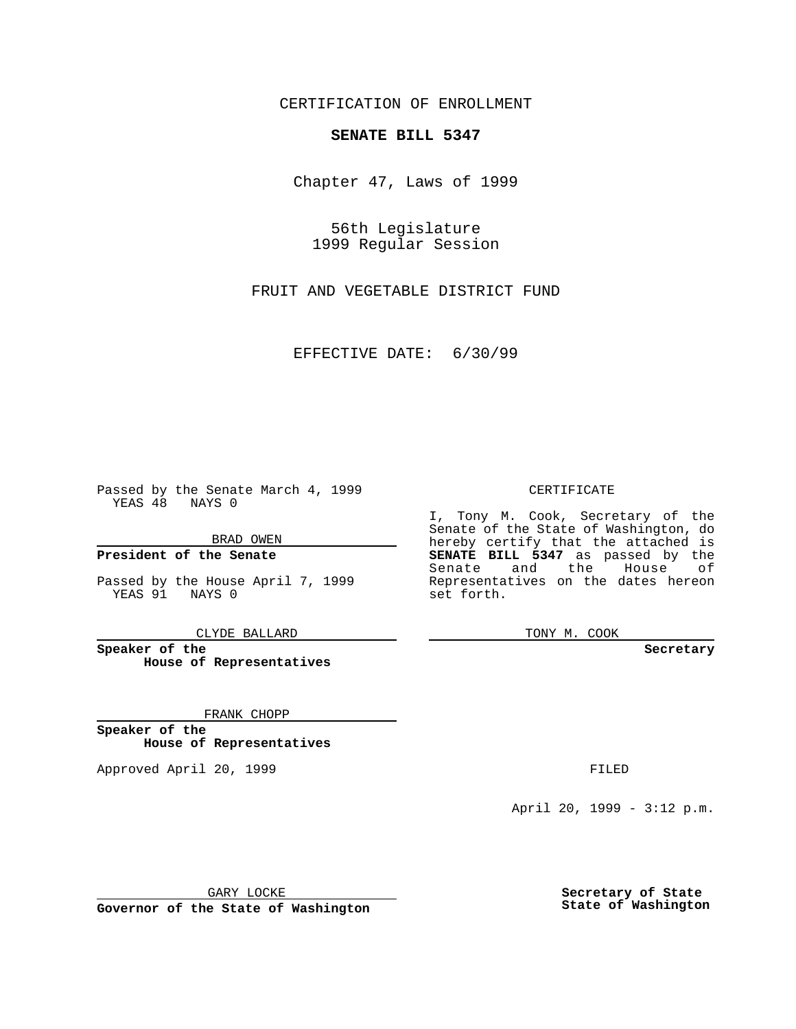CERTIFICATION OF ENROLLMENT

## **SENATE BILL 5347**

Chapter 47, Laws of 1999

56th Legislature 1999 Regular Session

FRUIT AND VEGETABLE DISTRICT FUND

EFFECTIVE DATE: 6/30/99

Passed by the Senate March 4, 1999 YEAS 48 NAYS 0

BRAD OWEN

**President of the Senate**

Passed by the House April 7, 1999 YEAS 91 NAYS 0

CLYDE BALLARD

**Speaker of the House of Representatives**

FRANK CHOPP

**Speaker of the House of Representatives**

Approved April 20, 1999 **FILED** 

## CERTIFICATE

I, Tony M. Cook, Secretary of the Senate of the State of Washington, do hereby certify that the attached is **SENATE BILL 5347** as passed by the Senate and the House of Representatives on the dates hereon set forth.

TONY M. COOK

## **Secretary**

April 20, 1999 - 3:12 p.m.

GARY LOCKE

**Governor of the State of Washington**

**Secretary of State State of Washington**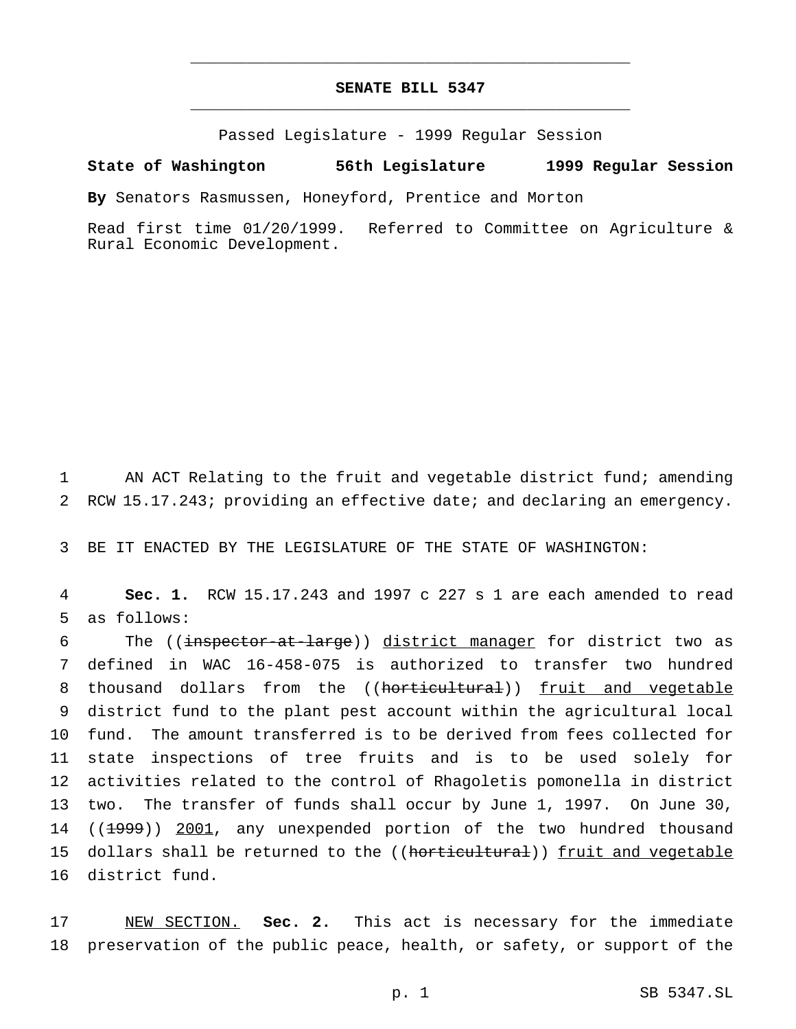## **SENATE BILL 5347** \_\_\_\_\_\_\_\_\_\_\_\_\_\_\_\_\_\_\_\_\_\_\_\_\_\_\_\_\_\_\_\_\_\_\_\_\_\_\_\_\_\_\_\_\_\_\_

\_\_\_\_\_\_\_\_\_\_\_\_\_\_\_\_\_\_\_\_\_\_\_\_\_\_\_\_\_\_\_\_\_\_\_\_\_\_\_\_\_\_\_\_\_\_\_

Passed Legislature - 1999 Regular Session

**State of Washington 56th Legislature 1999 Regular Session**

**By** Senators Rasmussen, Honeyford, Prentice and Morton

Read first time 01/20/1999. Referred to Committee on Agriculture & Rural Economic Development.

1 AN ACT Relating to the fruit and vegetable district fund; amending 2 RCW 15.17.243; providing an effective date; and declaring an emergency.

3 BE IT ENACTED BY THE LEGISLATURE OF THE STATE OF WASHINGTON:

4 **Sec. 1.** RCW 15.17.243 and 1997 c 227 s 1 are each amended to read 5 as follows:

6 The ((inspector-at-large)) district manager for district two as defined in WAC 16-458-075 is authorized to transfer two hundred 8 thousand dollars from the ((horticultural)) fruit and vegetable district fund to the plant pest account within the agricultural local fund. The amount transferred is to be derived from fees collected for state inspections of tree fruits and is to be used solely for activities related to the control of Rhagoletis pomonella in district two. The transfer of funds shall occur by June 1, 1997. On June 30, 14 ((1999)) 2001, any unexpended portion of the two hundred thousand 15 dollars shall be returned to the ((horticultural)) fruit and vegetable district fund.

17 NEW SECTION. **Sec. 2.** This act is necessary for the immediate 18 preservation of the public peace, health, or safety, or support of the